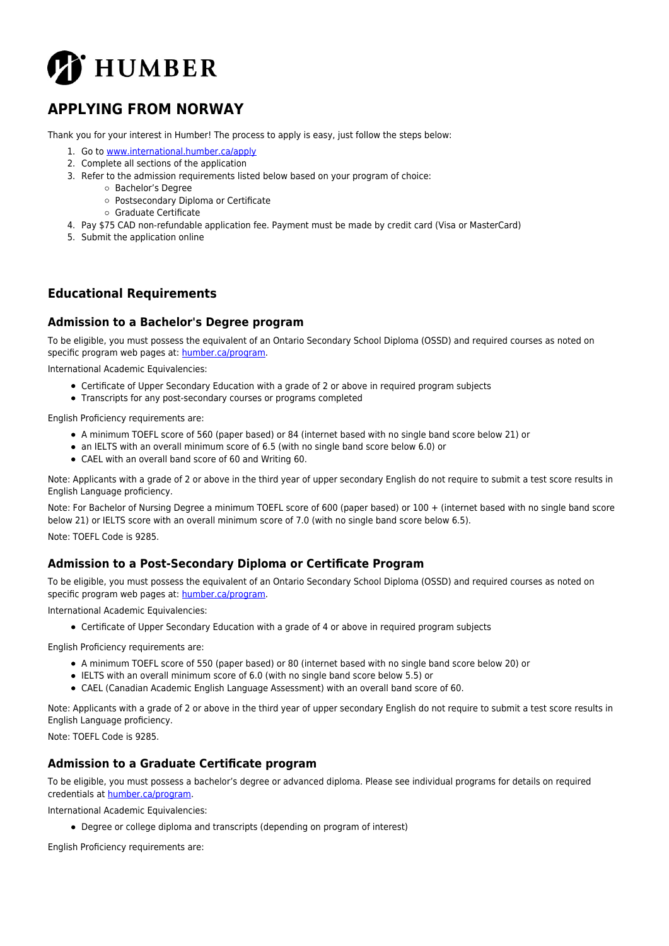

# **APPLYING FROM NORWAY**

Thank you for your interest in Humber! The process to apply is easy, just follow the steps below:

- 1. Go to [www.international.humber.ca/apply](http://www.international.humber.ca/apply)
- 2. Complete all sections of the application
- 3. Refer to the admission requirements listed below based on your program of choice:
	- Bachelor's Degree
		- Postsecondary Diploma or Certificate
		- Graduate Certificate
- 4. Pay \$75 CAD non-refundable application fee. Payment must be made by credit card (Visa or MasterCard)
- 5. Submit the application online

### **Educational Requirements**

#### **Admission to a Bachelor's Degree program**

To be eligible, you must possess the equivalent of an Ontario Secondary School Diploma (OSSD) and required courses as noted on specific program web pages at: [humber.ca/program](http://humber.ca/program).

International Academic Equivalencies:

- Certificate of Upper Secondary Education with a grade of 2 or above in required program subjects
- Transcripts for any post-secondary courses or programs completed

English Proficiency requirements are:

- A minimum TOEFL score of 560 (paper based) or 84 (internet based with no single band score below 21) or
- an IELTS with an overall minimum score of 6.5 (with no single band score below 6.0) or
- CAEL with an overall band score of 60 and Writing 60.

Note: Applicants with a grade of 2 or above in the third year of upper secondary English do not require to submit a test score results in English Language proficiency.

Note: For Bachelor of Nursing Degree a minimum TOEFL score of 600 (paper based) or 100 + (internet based with no single band score below 21) or IELTS score with an overall minimum score of 7.0 (with no single band score below 6.5). Note: TOEFL Code is 9285.

#### **Admission to a Post-Secondary Diploma or Certificate Program**

To be eligible, you must possess the equivalent of an Ontario Secondary School Diploma (OSSD) and required courses as noted on specific program web pages at: [humber.ca/program](http://humber.ca/program).

International Academic Equivalencies:

Certificate of Upper Secondary Education with a grade of 4 or above in required program subjects

English Proficiency requirements are:

- A minimum TOEFL score of 550 (paper based) or 80 (internet based with no single band score below 20) or
- IELTS with an overall minimum score of 6.0 (with no single band score below 5.5) or
- CAEL (Canadian Academic English Language Assessment) with an overall band score of 60.

Note: Applicants with a grade of 2 or above in the third year of upper secondary English do not require to submit a test score results in English Language proficiency.

Note: TOEFL Code is 9285.

#### **Admission to a Graduate Certificate program**

To be eligible, you must possess a bachelor's degree or advanced diploma. Please see individual programs for details on required credentials at [humber.ca/program](http://humber.ca/program).

International Academic Equivalencies:

Degree or college diploma and transcripts (depending on program of interest)

English Proficiency requirements are: